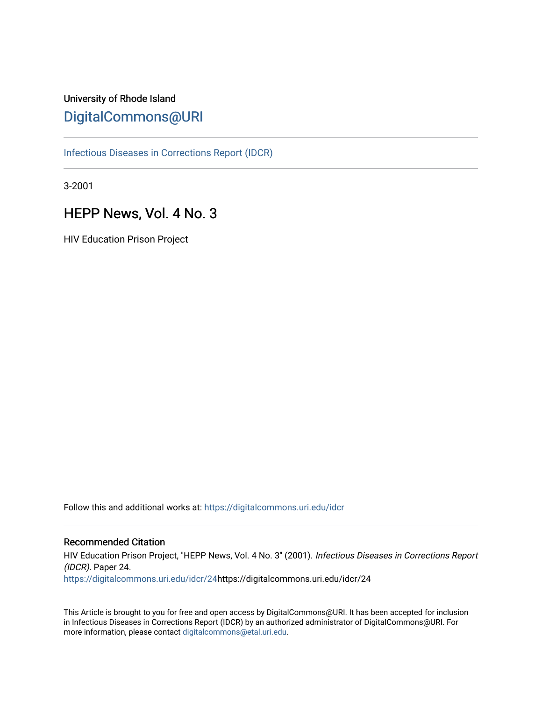# University of Rhode Island [DigitalCommons@URI](https://digitalcommons.uri.edu/)

[Infectious Diseases in Corrections Report \(IDCR\)](https://digitalcommons.uri.edu/idcr)

3-2001

# HEPP News, Vol. 4 No. 3

HIV Education Prison Project

Follow this and additional works at: [https://digitalcommons.uri.edu/idcr](https://digitalcommons.uri.edu/idcr?utm_source=digitalcommons.uri.edu%2Fidcr%2F24&utm_medium=PDF&utm_campaign=PDFCoverPages)

### Recommended Citation

HIV Education Prison Project, "HEPP News, Vol. 4 No. 3" (2001). Infectious Diseases in Corrections Report (IDCR). Paper 24. [https://digitalcommons.uri.edu/idcr/24h](https://digitalcommons.uri.edu/idcr/24?utm_source=digitalcommons.uri.edu%2Fidcr%2F24&utm_medium=PDF&utm_campaign=PDFCoverPages)ttps://digitalcommons.uri.edu/idcr/24

This Article is brought to you for free and open access by DigitalCommons@URI. It has been accepted for inclusion in Infectious Diseases in Corrections Report (IDCR) by an authorized administrator of DigitalCommons@URI. For more information, please contact [digitalcommons@etal.uri.edu.](mailto:digitalcommons@etal.uri.edu)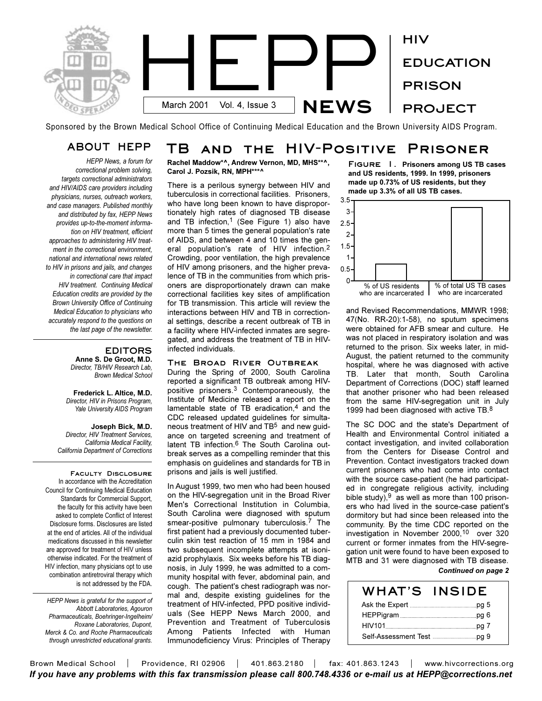

Sponsored by the Brown Medical School Office of Continuing Medical Education and the Brown University AIDS Program.

# **ABOUT HEPP TB and the HIV-Positive Prisoner**

*HEPP News, a forum for correctional problem solving, targets correctional administrators and HIV/AIDS care providers including physicians, nurses, outreach workers, and case managers. Published monthly and distributed by fax, HEPP News provides up-to-the-moment information on HIV treatment, efficient approaches to administering HIV treatment in the correctional environment, national and international news related to HIV in prisons and jails, and changes in correctional care that impact HIV treatment. Continuing Medical Education credits are provided by the Brown University Office of Continuing Medical Education to physicians who accurately respond to the questions on the last page of the newsletter.* 

### **EDITORS Anne S. De Groot, M.D.**

*Director, TB/HIV Research Lab, Brown Medical School*

**Frederick L. Altice, M.D.** *Director, HIV in Prisons Program, Yale University AIDS Program*

**Joseph Bick, M.D.** *Director, HIV Treatment Services, California Medical Facility, California Department of Corrections*

**Faculty Disclosure**  In accordance with the Accreditation Council for Continuing Medical Education Standards for Commercial Support, the faculty for this activity have been asked to complete Conflict of Interest Disclosure forms. Disclosures are listed at the end of articles. All of the individual medications discussed in this newsletter are approved for treatment of HIV unless otherwise indicated. For the treatment of HIV infection, many physicians opt to use combination antiretroviral therapy which is not addressed by the FDA.

*HEPP News is grateful for the support of Abbott Laboratories, Agouron Pharmaceuticals, Boehringer-Ingelheim/ Roxane Laboratories, Dupont, Merck & Co. and Roche Pharmaceuticals through unrestricted educational grants.*

**Rachel Maddow\*^, Andrew Vernon, MD, MHS\*\*^, Carol J. Pozsik, RN, MPH\*\*\*^**

There is a perilous synergy between HIV and tuberculosis in correctional facilities. Prisoners, who have long been known to have disproportionately high rates of diagnosed TB disease and TB infection,<sup>1</sup> (See Figure 1) also have more than 5 times the general population's rate of AIDS, and between 4 and 10 times the general population's rate of HIV infection.2 Crowding, poor ventilation, the high prevalence of HIV among prisoners, and the higher prevalence of TB in the communities from which prisoners are disproportionately drawn can make correctional facilities key sites of amplification for TB transmission. This article will review the interactions between HIV and TB in correctional settings, describe a recent outbreak of TB in a facility where HIV-infected inmates are segregated, and address the treatment of TB in HIVinfected individuals.

### **The Broad River Outbreak**

During the Spring of 2000, South Carolina reported a significant TB outbreak among HIVpositive prisoners.3 Contemporaneously, the Institute of Medicine released a report on the lamentable state of TB eradication, $4$  and the CDC released updated guidelines for simultaneous treatment of HIV and TB<sup>5</sup> and new guidance on targeted screening and treatment of latent TB infection.<sup>6</sup> The South Carolina outbreak serves as a compelling reminder that this emphasis on guidelines and standards for TB in prisons and jails is well justified.

In August 1999, two men who had been housed on the HIV-segregation unit in the Broad River Men's Correctional Institution in Columbia, South Carolina were diagnosed with sputum smear-positive pulmonary tuberculosis.<sup>7</sup> The first patient had a previously documented tuberculin skin test reaction of 15 mm in 1984 and two subsequent incomplete attempts at isoniazid prophylaxis. Six weeks before his TB diagnosis, in July 1999, he was admitted to a community hospital with fever, abdominal pain, and cough. The patient's chest radiograph was normal and, despite existing guidelines for the treatment of HIV-infected, PPD positive individuals (See HEPP News March 2000, and Prevention and Treatment of Tuberculosis Among Patients Infected with Human Immunodeficiency Virus: Principles of Therapy **Figure 1. Prisoners among US TB cases and US residents, 1999. In 1999, prisoners made up 0.73% of US residents, but they made up 3.3% of all US TB cases.**



and Revised Recommendations, MMWR 1998; 47(No. RR-20):1-58), no sputum specimens were obtained for AFB smear and culture. He was not placed in respiratory isolation and was returned to the prison. Six weeks later, in mid-August, the patient returned to the community hospital, where he was diagnosed with active TB. Later that month, South Carolina Department of Corrections (DOC) staff learned that another prisoner who had been released from the same HIV-segregation unit in July 1999 had been diagnosed with active TB.<sup>8</sup>

The SC DOC and the state's Department of Health and Environmental Control initiated a contact investigation, and invited collaboration from the Centers for Disease Control and Prevention. Contact investigators tracked down current prisoners who had come into contact with the source case-patient (he had participated in congregate religious activity, including bible study),  $9$  as well as more than 100 prisoners who had lived in the source-case patient's dormitory but had since been released into the community. By the time CDC reported on the investigation in November 2000,10 over 320 current or former inmates from the HIV-segregation unit were found to have been exposed to MTB and 31 were diagnosed with TB disease. *Continued on page 2*

| WHAT'S | <b>INSIDE</b> |
|--------|---------------|
|        |               |
|        |               |
|        |               |
|        |               |

Brown Medical School | Providence, RI 02906 | 401.863.2180 | fax: 401.863.1243 | www.hivcorrections.org *If you have any problems with this fax transmission please call 800.748.4336 or e-mail us at HEPP@corrections.net*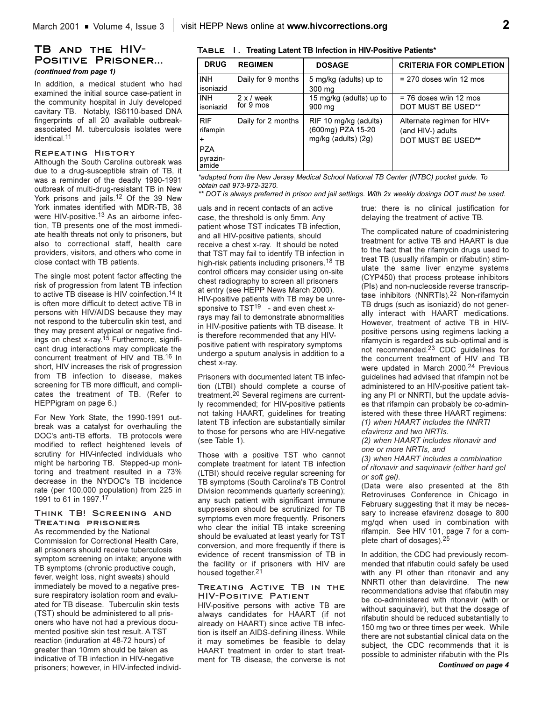### **TB and the HIV-Positive Prisoner...** *(continued from page 1)*

In addition, a medical student who had examined the initial source case-patient in the community hospital in July developed cavitary TB. Notably, IS6110-based DNA fingerprints of all 20 available outbreakassociated M. tuberculosis isolates were identical.11

#### **Repeating History**

Although the South Carolina outbreak was due to a drug-susceptible strain of TB, it was a reminder of the deadly 1990-1991 outbreak of multi-drug-resistant TB in New York prisons and jails.<sup>12</sup> Of the 39 New York inmates identified with MDR-TB, 38 were HIV-positive.<sup>13</sup> As an airborne infection, TB presents one of the most immediate health threats not only to prisoners, but also to correctional staff, health care providers, visitors, and others who come in close contact with TB patients.

The single most potent factor affecting the risk of progression from latent TB infection to active TB disease is HIV coinfection.<sup>14</sup> It is often more difficult to detect active TB in persons with HIV/AIDS because they may not respond to the tuberculin skin test, and they may present atypical or negative findings on chest x-ray.<sup>15</sup> Furthermore, significant drug interactions may complicate the concurrent treatment of HIV and TB.16 In short, HIV increases the risk of progression from TB infection to disease, makes screening for TB more difficult, and complicates the treatment of TB. (Refer to HEPPigram on page 6.)

For New York State, the 1990-1991 outbreak was a catalyst for overhauling the DOC's anti-TB efforts. TB protocols were modified to reflect heightened levels of scrutiny for HIV-infected individuals who might be harboring TB. Stepped-up monitoring and treatment resulted in a 73% decrease in the NYDOC's TB incidence rate (per 100,000 population) from 225 in 1991 to 61 in 1997.17

### **Think TB! Screening and Treating prisoners**

As recommended by the National Commission for Correctional Health Care, all prisoners should receive tuberculosis symptom screening on intake; anyone with TB symptoms (chronic productive cough, fever, weight loss, night sweats) should immediately be moved to a negative pressure respiratory isolation room and evaluated for TB disease. Tuberculin skin tests (TST) should be administered to all prisoners who have not had a previous documented positive skin test result. A TST reaction (induration at 48-72 hours) of greater than 10mm should be taken as indicative of TB infection in HIV-negative prisoners; however, in HIV-infected individ-

**Table 1. Treating Latent TB Infection in HIV-Positive Patients\***

| <b>DRUG</b>                                                            | <b>REGIMEN</b>                 | <b>DOSAGE</b>                                                     | <b>CRITERIA FOR COMPLETION</b>                                        |
|------------------------------------------------------------------------|--------------------------------|-------------------------------------------------------------------|-----------------------------------------------------------------------|
| <b>INH</b><br>isoniazid                                                | Daily for 9 months             | 5 mg/kg (adults) up to<br>300 mg                                  | $= 270$ doses w/in 12 mos                                             |
| INH.<br>isoniazid                                                      | $2 \times$ / week<br>for 9 mos | 15 mg/kg (adults) up to<br>900 mg                                 | $= 76$ doses w/in 12 mos<br><b>DOT MUST BE USED**</b>                 |
| <b>RIF</b><br>rifampin<br>$\ddot{}$<br><b>PZA</b><br>pyrazin-<br>amide | Daily for 2 months             | RIF 10 mg/kg (adults)<br>(600mg) PZA 15-20<br>mg/kg (adults) (2g) | Alternate regimen for HIV+<br>(and HIV-) adults<br>DOT MUST BE USED** |

*\*adapted from the New Jersey Medical School National TB Center (NTBC) pocket guide. To obtain call 973-972-3270.* 

*\*\* DOT is always preferred in prison and jail settings. With 2x weekly dosings DOT must be used.*

uals and in recent contacts of an active case, the threshold is only 5mm. Any patient whose TST indicates TB infection, and all HIV-positive patients, should receive a chest x-ray. It should be noted that TST may fail to identify TB infection in high-risk patients including prisoners.<sup>18</sup> TB control officers may consider using on-site chest radiography to screen all prisoners at entry (see HEPP News March 2000). HIV-positive patients with TB may be unresponsive to  $TST^{19}$  - and even chest xrays may fail to demonstrate abnormalities in HIV-positive patients with TB disease. It is therefore recommended that any HIVpositive patient with respiratory symptoms undergo a sputum analysis in addition to a chest x-ray.

Prisoners with documented latent TB infection (LTBI) should complete a course of treatment.20 Several regimens are currently recommended; for HIV-positive patients not taking HAART, guidelines for treating latent TB infection are substantially similar to those for persons who are HIV-negative (see Table 1).

Those with a positive TST who cannot complete treatment for latent TB infection (LTBI) should receive regular screening for TB symptoms (South Carolina's TB Control Division recommends quarterly screening); any such patient with significant immune suppression should be scrutinized for TB symptoms even more frequently. Prisoners who clear the initial TB intake screening should be evaluated at least yearly for TST conversion, and more frequently if there is evidence of recent transmission of TB in the facility or if prisoners with HIV are housed together.<sup>21</sup>

#### **Treating Active TB in the HIV-Positive Patient**

HIV-positive persons with active TB are always candidates for HAART (if not already on HAART) since active TB infection is itself an AIDS-defining illness. While it may sometimes be feasible to delay HAART treatment in order to start treatment for TB disease, the converse is not

true: there is no clinical justification for delaying the treatment of active TB.

The complicated nature of coadministering treatment for active TB and HAART is due to the fact that the rifamycin drugs used to treat TB (usually rifampin or rifabutin) stimulate the same liver enzyme systems (CYP450) that process protease inhibitors (PIs) and non-nucleoside reverse transcriptase inhibitors (NNRTIs).22 Non-rifamycin TB drugs (such as isoniazid) do not generally interact with HAART medications. However, treatment of active TB in HIVpositive persons using regimens lacking a rifamycin is regarded as sub-optimal and is not recommended.23 CDC guidelines for the concurrent treatment of HIV and TB were updated in March 2000.<sup>24</sup> Previous guidelines had advised that rifampin not be administered to an HIV-positive patient taking any PI or NNRTI, but the update advises that rifampin can probably be co-administered with these three HAART regimens: *(1) when HAART includes the NNRTI efavirenz and two NRTIs.*

*(2) when HAART includes ritonavir and one or more NRTIs, and*

*(3) when HAART includes a combination of ritonavir and saquinavir (either hard gel or soft gel)*.

(Data were also presented at the 8th Retroviruses Conference in Chicago in February suggesting that it may be necessary to increase efavirenz dosage to 800 mg/qd when used in combination with rifampin. See HIV 101, page 7 for a complete chart of dosages).25

In addition, the CDC had previously recommended that rifabutin could safely be used with any PI other than ritonavir and any NNRTI other than delavirdine. The new recommendations advise that rifabutin may be co-administered with ritonavir (with or without saquinavir), but that the dosage of rifabutin should be reduced substantially to 150 mg two or three times per week. While there are not substantial clinical data on the subject, the CDC recommends that it is possible to administer rifabutin with the PIs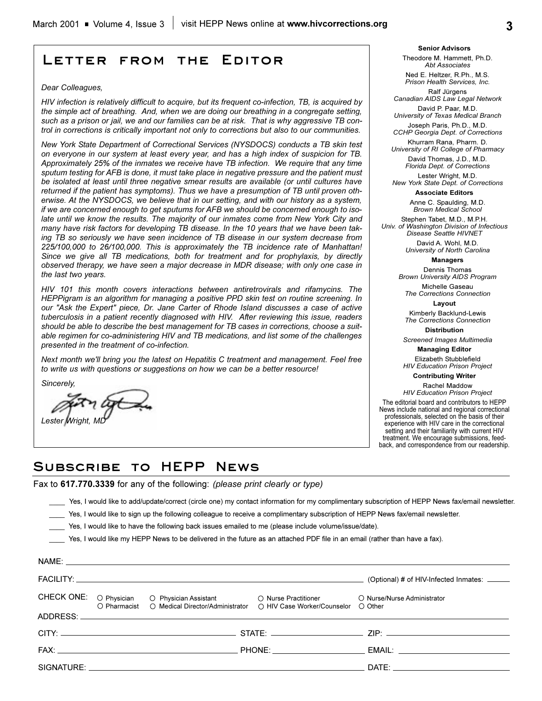### **Letter from the Editor**

#### *Dear Colleagues,*

*HIV infection is relatively difficult to acquire, but its frequent co-infection, TB, is acquired by the simple act of breathing. And, when we are doing our breathing in a congregate setting, such as a prison or jail, we and our families can be at risk. That is why aggressive TB control in corrections is critically important not only to corrections but also to our communities.* 

*New York State Department of Correctional Services (NYSDOCS) conducts a TB skin test on everyone in our system at least every year, and has a high index of suspicion for TB. Approximately 25% of the inmates we receive have TB infection. We require that any time sputum testing for AFB is done, it must take place in negative pressure and the patient must be isolated at least until three negative smear results are available (or until cultures have returned if the patient has symptoms). Thus we have a presumption of TB until proven otherwise. At the NYSDOCS, we believe that in our setting, and with our history as a system, if we are concerned enough to get sputums for AFB we should be concerned enough to isolate until we know the results. The majority of our inmates come from New York City and many have risk factors for developing TB disease. In the 10 years that we have been taking TB so seriously we have seen incidence of TB disease in our system decrease from 225/100,000 to 26/100,000. This is approximately the TB incidence rate of Manhattan! Since we give all TB medications, both for treatment and for prophylaxis, by directly observed therapy, we have seen a major decrease in MDR disease; with only one case in the last two years.*

*HIV 101 this month covers interactions between antiretrovirals and rifamycins. The HEPPigram is an algorithm for managing a positive PPD skin test on routine screening. In our "Ask the Expert" piece, Dr. Jane Carter of Rhode Island discusses a case of active tuberculosis in a patient recently diagnosed with HIV. After reviewing this issue, readers should be able to describe the best management for TB cases in corrections, choose a suitable regimen for co-administering HIV and TB medications, and list some of the challenges presented in the treatment of co-infection.*

*Next month we'll bring you the latest on Hepatitis C treatment and management. Feel free to write us with questions or suggestions on how we can be a better resource!*

*Sincerely,*

NAME:

**Lester Wright** 

**Senior Advisors** Theodore M. Hammett, Ph.D. *Abt Associates*

Ned E. Heltzer, R.Ph., M.S. *Prison Health Services, Inc.*

Ralf Jürgens *Canadian AIDS Law Legal Network* David P. Paar, M.D.

*University of Texas Medical Branch* Joseph Paris, Ph.D., M.D.

*CCHP Georgia Dept. of Corrections* 

Khurram Rana, Pharm. D. *University of RI College of Pharmacy* David Thomas, J.D., M.D. *Florida Dept. of Corrections*

Lester Wright, M.D. *New York State Dept. of Corrections*

**Associate Editors**

Anne C. Spaulding, M.D. *Brown Medical School*

Stephen Tabet, M.D., M.P.H. *Univ. of Washington Division of Infectious Disease Seattle HIVNET*

> David A. Wohl, M.D. *University of North Carolina*

**Managers**

Dennis Thomas *Brown University AIDS Program*

Michelle Gaseau *The Corrections Connection* **Layout**

Kimberly Backlund-Lewis *The Corrections Connection*

**Distribution** *Screened Images Multimedia*

**Managing Editor**  Elizabeth Stubblefield

*HIV Education Prison Project*

**Contributing Writer** 

Rachel Maddow *HIV Education Prison Project*

The editorial board and contributors to HEPP News include national and regional correctional professionals, selected on the basis of their experience with HIV care in the correctional setting and their familiarity with current HIV treatment. We encourage submissions, feedback, and correspondence from our readership.

### **Subscribe to HEPP News**

Fax to **617.770.3339** for any of the following: *(please print clearly or type)*

Yes, I would like to add/update/correct (circle one) my contact information for my complimentary subscription of HEPP News fax/email newsletter.

- Yes, I would like to sign up the following colleague to receive a complimentary subscription of HEPP News fax/email newsletter.
- Yes, I would like to have the following back issues emailed to me (please include volume/issue/date).

Yes, I would like my HEPP News to be delivered in the future as an attached PDF file in an email (rather than have a fax).

|  | INAIVIE. |                                                                                                                                                                                    |                                             |
|--|----------|------------------------------------------------------------------------------------------------------------------------------------------------------------------------------------|---------------------------------------------|
|  |          |                                                                                                                                                                                    | (Optional) # of HIV-Infected Inmates: _____ |
|  |          | CHECK ONE: O Physician O Physician Assistant O Nurse Practitioner O Nurse/Nurse Administrator<br>O Pharmacist O Medical Director/Administrator O HIV Case Worker/Counselor O Other |                                             |
|  |          |                                                                                                                                                                                    |                                             |
|  |          |                                                                                                                                                                                    |                                             |
|  |          |                                                                                                                                                                                    |                                             |
|  |          |                                                                                                                                                                                    |                                             |
|  |          |                                                                                                                                                                                    |                                             |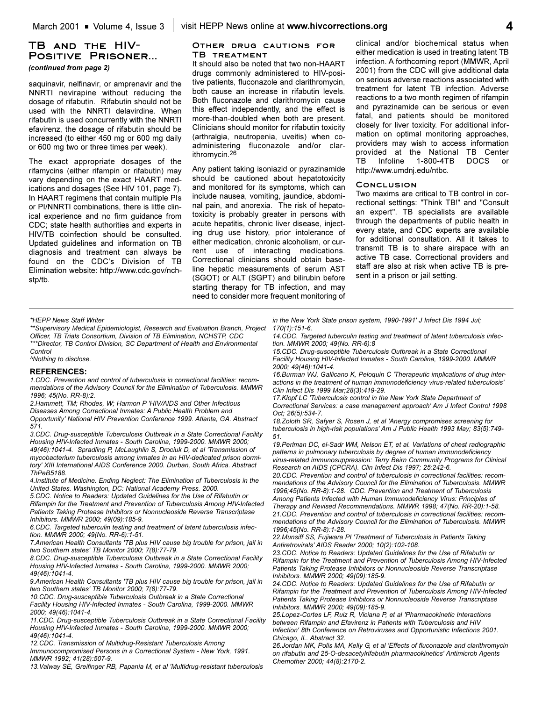ithromycin.26

### **TB and the HIV-Positive Prisoner...**

*(continued from page 2)*

saquinavir, nelfinavir, or amprenavir and the NNRTI nevirapine without reducing the dosage of rifabutin. Rifabutin should not be used with the NNRTI delavirdine. When rifabutin is used concurrently with the NNRTI efavirenz, the dosage of rifabutin should be increased (to either 450 mg or 600 mg daily or 600 mg two or three times per week).

The exact appropriate dosages of the rifamycins (either rifampin or rifabutin) may vary depending on the exact HAART medications and dosages (See HIV 101, page 7). In HAART regimens that contain multiple PIs or PI/NNRTI combinations, there is little clinical experience and no firm guidance from CDC; state health authorities and experts in HIV/TB coinfection should be consulted. Updated guidelines and information on TB diagnosis and treatment can always be found on the CDC's Division of TB Elimination website: http://www.cdc.gov/nchstp/tb.

## **Other drug cautions for**

**TB treatment** It should also be noted that two non-HAART drugs commonly administered to HIV-positive patients, fluconazole and clarithromycin, both cause an increase in rifabutin levels. Both fluconazole and clarithromycin cause this effect independently, and the effect is more-than-doubled when both are present. Clinicians should monitor for rifabutin toxicity (arthralgia, neutropenia, uveitis) when coadministering fluconazole and/or clar-

Any patient taking isoniazid or pyrazinamide should be cautioned about hepatotoxicity and monitored for its symptoms, which can include nausea, vomiting, jaundice, abdominal pain, and anorexia. The risk of hepatotoxicity is probably greater in persons with acute hepatitis, chronic liver disease, injecting drug use history, prior intolerance of either medication, chronic alcoholism, or current use of interacting medications. Correctional clinicians should obtain baseline hepatic measurements of serum AST (SGOT) or ALT (SGPT) and bilirubin before starting therapy for TB infection, and may need to consider more frequent monitoring of

clinical and/or biochemical status when either medication is used in treating latent TB infection. A forthcoming report (MMWR, April 2001) from the CDC will give additional data on serious adverse reactions associated with treatment for latent TB infection. Adverse reactions to a two month regimen of rifampin and pyrazinamide can be serious or even fatal, and patients should be monitored closely for liver toxicity. For additional information on optimal monitoring approaches, providers may wish to access information provided at the National TB Center TB Infoline 1-800-4TB DOCS or http://www.umdnj.edu/ntbc.

#### **Conclusion**

Two maxims are critical to TB control in correctional settings: "Think TB!" and "Consult an expert". TB specialists are available through the departments of public health in every state, and CDC experts are available for additional consultation. All it takes to transmit TB is to share airspace with an active TB case. Correctional providers and staff are also at risk when active TB is present in a prison or jail setting.

#### *\*HEPP News Staff Writer*

*\*\*Supervisory Medical Epidemiologist, Research and Evaluation Branch, Project Officer, TB Trials Consortium, Division of TB Elimination, NCHSTP, CDC \*\*\*Director, TB Control Division, SC Department of Health and Environmental Control*

*^Nothing to disclose.*

#### **REFERENCES:**

*1.CDC. Prevention and control of tuberculosis in correctional facilities: recommendations of the Advisory Council for the Elimination of Tuberculosis. MMWR 1996; 45(No. RR-8):2.*

*2.Hammett, TM; Rhodes, W; Harmon P 'HIV/AIDS and Other Infectious*

*Diseases Among Correctional Inmates: A Public Health Problem and Opportunity' National HIV Prevention Conference 1999. Atlanta, GA. Abstract 571.*

*3.CDC. Drug-susceptible Tuberculosis Outbreak in a State Correctional Facility Housing HIV-Infected Inmates - South Carolina, 1999-2000. MMWR 2000;*

*49(46):1041-4. Spradling P, McLaughlin S, Drociuk D, et al 'Transmission of mycobacterium tuberculosis among inmates in an HIV-dedicated prison dormitory' XIII International AIDS Conference 2000. Durban, South Africa. Abstract ThPeB5188.*

*4.Institute of Medicine. Ending Neglect: The Elimination of Tuberculosis in the United States. Washington, DC: National Academy Press. 2000.*

*5.CDC. Notice to Readers: Updated Guidelines for the Use of Rifabutin or Rifampin for the Treatment and Prevention of Tuberculosis Among HIV-Infected Patients Taking Protease Inhibitors or Nonnucleoside Reverse Transcriptase Inhibitors. MMWR 2000; 49(09):185-9.*

*6.CDC. Targeted tuberculin testing and treatment of latent tuberculosis infection. MMWR 2000; 49(No. RR-6):1-51.*

*7.American Health Consultants 'TB plus HIV cause big trouble for prison, jail in two Southern states' TB Monitor 2000; 7(8):77-79.*

*8.CDC. Drug-susceptible Tuberculosis Outbreak in a State Correctional Facility Housing HIV-Infected Inmates - South Carolina, 1999-2000. MMWR 2000; 49(46):1041-4.*

*9.American Health Consultants 'TB plus HIV cause big trouble for prison, jail in two Southern states' TB Monitor 2000; 7(8):77-79.*

*10.CDC. Drug-susceptible Tuberculosis Outbreak in a State Correctional Facility Housing HIV-Infected Inmates - South Carolina, 1999-2000. MMWR 2000; 49(46):1041-4.*

*11.CDC. Drug-susceptible Tuberculosis Outbreak in a State Correctional Facility Housing HIV-Infected Inmates - South Carolina, 1999-2000. MMWR 2000; 49(46):1041-4.*

*12.CDC. Transmission of Multidrug-Resistant Tuberculosis Among Immunocompromised Persons in a Correctional System - New York, 1991. MMWR 1992; 41(28):507-9.*

*13.Valway SE, Greifinger RB, Papania M, et al 'Multidrug-resistant tuberculosis*

*in the New York State prison system, 1990-1991' J Infect Dis 1994 Jul; 170(1):151-6.*

*14.CDC. Targeted tuberculin testing and treatment of latent tuberculosis infection. MMWR 2000; 49(No. RR-6):8*

*15.CDC. Drug-susceptible Tuberculosis Outbreak in a State Correctional Facility Housing HIV-Infected Inmates - South Carolina, 1999-2000. MMWR 2000; 49(46):1041-4.*

*16.Burman WJ, Gallicano K, Peloquin C 'Therapeutic implications of drug interactions in the treatment of human immunodeficiency virus-related tuberculosis' Clin Infect Dis 1999 Mar;28(3):419-29.*

*17.Klopf LC 'Tuberculosis control in the New York State Department of Correctional Services: a case management approach' Am J Infect Control 1998 Oct; 26(5):534-7.*

*18.Zoloth SR, Safyer S, Rosen J, et al 'Anergy compromises screening for tuberculosis in high-risk populations' Am J Public Health 1993 May; 83(5):749- 51.*

*19.Perlman DC, el-Sadr WM, Nelson ET, et al. Variations of chest radiographic patterns in pulmonary tuberculosis by degree of human immunodeficiency virus-related immunosuppression: Terry Beirn Community Programs for Clinical Research on AIDS (CPCRA). Clin Infect Dis 1997; 25:242-6.*

*20.CDC. Prevention and control of tuberculosis in correctional facilities: recommendations of the Advisory Council for the Elimination of Tuberculosis. MMWR 1996;45(No. RR-8):1-28. CDC. Prevention and Treatment of Tuberculosis Among Patients Infected with Human Immunodeficiency Virus: Principles of Therapy and Revised Recommendations. MMWR 1998; 47(No. RR-20):1-58. 21.CDC. Prevention and control of tuberculosis in correctional facilities: recommendations of the Advisory Council for the Elimination of Tuberculosis. MMWR 1996;45(No. RR-8):1-28.*

*22.Munsiff SS, Fujiwara PI 'Treatment of Tuberculosis in Patients Taking Antiretrovirals' AIDS Reader 2000; 10(2):102-108.*

*23.CDC. Notice to Readers: Updated Guidelines for the Use of Rifabutin or Rifampin for the Treatment and Prevention of Tuberculosis Among HIV-Infected Patients Taking Protease Inhibitors or Nonnucleoside Reverse Transcriptase Inhibitors. MMWR 2000; 49(09):185-9.*

*24.CDC. Notice to Readers: Updated Guidelines for the Use of Rifabutin or Rifampin for the Treatment and Prevention of Tuberculosis Among HIV-Infected Patients Taking Protease Inhibitors or Nonnucleoside Reverse Transcriptase Inhibitors. MMWR 2000; 49(09):185-9.*

*25.Lopez-Cortes LF, Ruiz R, Viciana P, et al 'Pharmacokinetic Interactions between Rifampin and Efavirenz in Patients with Tuberculosis and HIV Infection' 8th Conference on Retroviruses and Opportunistic Infections 2001. Chicago, IL. Abstract 32.*

*26.Jordan MK, Polis MA, Kelly G, et al 'Effects of fluconazole and clarithromycin on rifabutin and 25-O-desacetylrifabutin pharmacokinetics' Antimicrob Agents Chemother 2000; 44(8):2170-2.*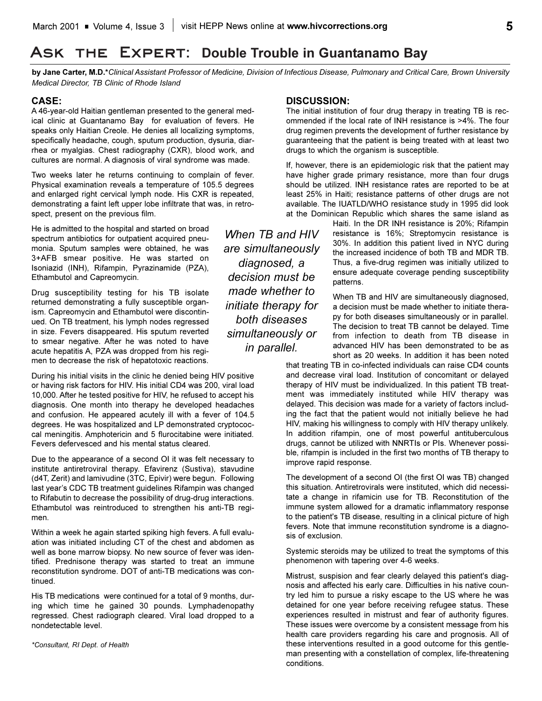# **Ask the Expert: Double Trouble in Guantanamo Bay**

**by Jane Carter, M.D.\****Clinical Assistant Professor of Medicine, Division of Infectious Disease, Pulmonary and Critical Care, Brown University Medical Director, TB Clinic of Rhode Island*

### **CASE:**

A 46-year-old Haitian gentleman presented to the general medical clinic at Guantanamo Bay for evaluation of fevers. He speaks only Haitian Creole. He denies all localizing symptoms, specifically headache, cough, sputum production, dysuria, diarrhea or myalgias. Chest radiography (CXR), blood work, and cultures are normal. A diagnosis of viral syndrome was made.

Two weeks later he returns continuing to complain of fever. Physical examination reveals a temperature of 105.5 degrees and enlarged right cervical lymph node. His CXR is repeated, demonstrating a faint left upper lobe infiltrate that was, in retrospect, present on the previous film.

He is admitted to the hospital and started on broad spectrum antibiotics for outpatient acquired pneumonia. Sputum samples were obtained, he was 3+AFB smear positive. He was started on Isoniazid (INH), Rifampin, Pyrazinamide (PZA), Ethambutol and Capreomycin.

Drug susceptibility testing for his TB isolate returned demonstrating a fully susceptible organism. Capreomycin and Ethambutol were discontinued. On TB treatment, his lymph nodes regressed in size. Fevers disappeared. His sputum reverted to smear negative. After he was noted to have acute hepatitis A, PZA was dropped from his regimen to decrease the risk of hepatotoxic reactions.

During his initial visits in the clinic he denied being HIV positive or having risk factors for HIV. His initial CD4 was 200, viral load 10,000. After he tested positive for HIV, he refused to accept his diagnosis. One month into therapy he developed headaches and confusion. He appeared acutely ill with a fever of 104.5 degrees. He was hospitalized and LP demonstrated cryptococcal meningitis. Amphotericin and 5 flurocitabine were initiated. Fevers defervesced and his mental status cleared.

Due to the appearance of a second OI it was felt necessary to institute antiretroviral therapy. Efavirenz (Sustiva), stavudine (d4T, Zerit) and lamivudine (3TC, Epivir) were begun. Following last year's CDC TB treatment quidelines Rifampin was changed to Rifabutin to decrease the possibility of drug-drug interactions. Ethambutol was reintroduced to strengthen his anti-TB regimen.

Within a week he again started spiking high fevers. A full evaluation was initiated including CT of the chest and abdomen as well as bone marrow biopsy. No new source of fever was identified. Prednisone therapy was started to treat an immune reconstitution syndrome. DOT of anti-TB medications was continued.

His TB medications were continued for a total of 9 months, during which time he gained 30 pounds. Lymphadenopathy regressed. Chest radiograph cleared. Viral load dropped to a nondetectable level.

*\*Consultant, RI Dept. of Health*

### **DISCUSSION:**

The initial institution of four drug therapy in treating TB is recommended if the local rate of INH resistance is >4%. The four drug regimen prevents the development of further resistance by guaranteeing that the patient is being treated with at least two drugs to which the organism is susceptible.

If, however, there is an epidemiologic risk that the patient may have higher grade primary resistance, more than four drugs should be utilized. INH resistance rates are reported to be at least 25% in Haiti; resistance patterns of other drugs are not available. The IUATLD/WHO resistance study in 1995 did look at the Dominican Republic which shares the same island as

> Haiti. In the DR INH resistance is 20%; Rifampin resistance is 16%; Streptomycin resistance is 30%. In addition this patient lived in NYC during the increased incidence of both TB and MDR TB. Thus, a five-drug regimen was initially utilized to ensure adequate coverage pending susceptibility patterns.

> When TB and HIV are simultaneously diagnosed, a decision must be made whether to initiate therapy for both diseases simultaneously or in parallel. The decision to treat TB cannot be delayed. Time from infection to death from TB disease in advanced HIV has been demonstrated to be as short as 20 weeks. In addition it has been noted

that treating TB in co-infected individuals can raise CD4 counts and decrease viral load. Institution of concomitant or delayed therapy of HIV must be individualized. In this patient TB treatment was immediately instituted while HIV therapy was delayed. This decision was made for a variety of factors including the fact that the patient would not initially believe he had HIV, making his willingness to comply with HIV therapy unlikely. In addition rifampin, one of most powerful antituberculous drugs, cannot be utilized with NNRTIs or PIs. Whenever possible, rifampin is included in the first two months of TB therapy to improve rapid response.

The development of a second OI (the first OI was TB) changed this situation. Antiretrovirals were instituted, which did necessitate a change in rifamicin use for TB. Reconstitution of the immune system allowed for a dramatic inflammatory response to the patient's TB disease, resulting in a clinical picture of high fevers. Note that immune reconstitution syndrome is a diagnosis of exclusion.

Systemic steroids may be utilized to treat the symptoms of this phenomenon with tapering over 4-6 weeks.

Mistrust, suspision and fear clearly delayed this patient's diagnosis and affected his early care. Difficulties in his native country led him to pursue a risky escape to the US where he was detained for one year before receiving refugee status. These experiences resulted in mistrust and fear of authority figures. These issues were overcome by a consistent message from his health care providers regarding his care and prognosis. All of these interventions resulted in a good outcome for this gentleman presenting with a constellation of complex, life-threatening conditions.

*When TB and HIV are simultaneously diagnosed, a decision must be made whether to initiate therapy for both diseases simultaneously or in parallel.*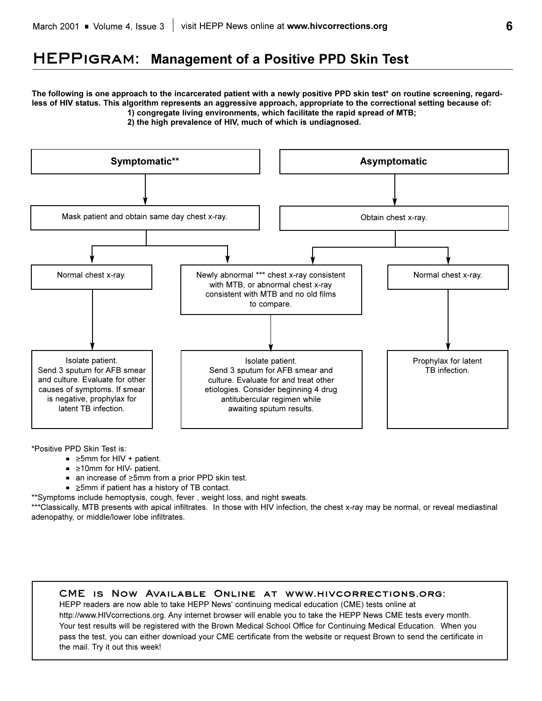# **HEPPigram: Management of a Positive PPD Skin Test**

**The following is one approach to the incarcerated patient with a newly positive PPD skin test\* on routine screening, regardless of HIV status. This algorithm represents an aggressive approach, appropriate to the correctional setting because of: 1) congregate living environments, which facilitate the rapid spread of MTB;**

**2) the high prevalence of HIV, much of which is undiagnosed.**



\*Positive PPD Skin Test is:

- $\equiv$   $\geq$ 5mm for HIV + patient.
- $\blacksquare$   $\geq$ 10mm for HIV- patient.
- $\blacksquare$  an increase of  $\geq 5$ mm from a prior PPD skin test.
- $\blacktriangleright$   $\ge$ 5mm if patient has a history of TB contact.
- \*\*Symptoms include hemoptysis, cough, fever , weight loss, and night sweats.

\*\*\*Classically, MTB presents with apical infiltrates. In those with HIV infection, the chest x-ray may be normal, or reveal mediastinal adenopathy, or middle/lower lobe infiltrates.

### **CME is Now Available Online at www.hivcorrections.org:**

HEPP readers are now able to take HEPP News' continuing medical education (CME) tests online at http://www.HIVcorrections.org. Any internet browser will enable you to take the HEPP News CME tests every month. Your test results will be registered with the Brown Medical School Office for Continuing Medical Education. When you pass the test, you can either download your CME certificate from the website or request Brown to send the certificate in the mail. Try it out this week!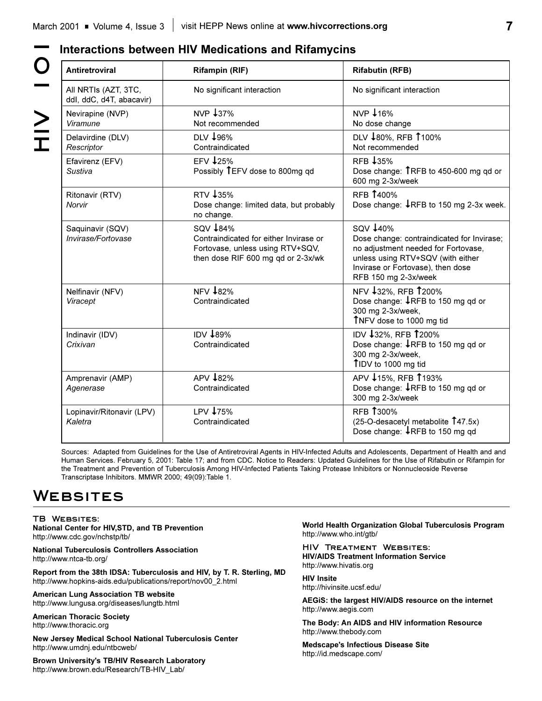| <b>Antiretroviral</b>                            | <b>Rifampin (RIF)</b>                                                                                                        | <b>Rifabutin (RFB)</b>                                                                                                                                                                          |
|--------------------------------------------------|------------------------------------------------------------------------------------------------------------------------------|-------------------------------------------------------------------------------------------------------------------------------------------------------------------------------------------------|
| All NRTIs (AZT, 3TC,<br>ddl, ddC, d4T, abacavir) | No significant interaction                                                                                                   | No significant interaction                                                                                                                                                                      |
| Nevirapine (NVP)<br>Viramune                     | NVP 437%<br>Not recommended                                                                                                  | NVP 416%<br>No dose change                                                                                                                                                                      |
| Delavirdine (DLV)<br>Rescriptor                  | DLV 196%<br>Contraindicated                                                                                                  | DLV 180%, RFB 1100%<br>Not recommended                                                                                                                                                          |
| Efavirenz (EFV)<br>Sustiva                       | EFV $\downarrow$ 25%<br>Possibly TEFV dose to 800mg gd                                                                       | RFB 435%<br>Dose change: TRFB to 450-600 mg qd or<br>600 mg 2-3x/week                                                                                                                           |
| Ritonavir (RTV)<br>Norvir                        | RTV 435%<br>Dose change: limited data, but probably<br>no change.                                                            | <b>RFB 1400%</b><br>Dose change: ↓RFB to 150 mg 2-3x week.                                                                                                                                      |
| Saquinavir (SQV)<br>Invirase/Fortovase           | SQV +84%<br>Contraindicated for either Invirase or<br>Fortovase, unless using RTV+SQV,<br>then dose RIF 600 mg qd or 2-3x/wk | SQV 440%<br>Dose change: contraindicated for Invirase;<br>no adjustment needed for Fortovase,<br>unless using RTV+SQV (with either<br>Invirase or Fortovase), then dose<br>RFB 150 mg 2-3x/week |
| Nelfinavir (NFV)<br>Viracept                     | <b>NFV 482%</b><br>Contraindicated                                                                                           | NFV 432%, RFB 1200%<br>Dose change: ↓RFB to 150 mg qd or<br>300 mg 2-3x/week,<br>TNFV dose to 1000 mg tid                                                                                       |
| Indinavir (IDV)<br>Crixivan                      | <b>IDV 489%</b><br>Contraindicated                                                                                           | IDV 432%, RFB 1200%<br>Dose change: ↓RFB to 150 mg qd or<br>300 mg 2-3x/week,<br>TIDV to 1000 mg tid                                                                                            |
| Amprenavir (AMP)<br>Agenerase                    | APV 182%<br>Contraindicated                                                                                                  | APV 415%, RFB 1193%<br>Dose change: ↓RFB to 150 mg qd or<br>300 mg 2-3x/week                                                                                                                    |
| Lopinavir/Ritonavir (LPV)<br>Kaletra             | LPV 475%<br>Contraindicated                                                                                                  | <b>RFB 1300%</b><br>$(25-O$ -desacetyl metabolite $\hat{1}47.5x$ )<br>Dose change: IRFB to 150 mg qd                                                                                            |

Sources: Adapted from Guidelines for the Use of Antiretroviral Agents in HIV-Infected Adults and Adolescents, Department of Health and and Human Services. February 5, 2001: Table 17; and from CDC. Notice to Readers: Updated Guidelines for the Use of Rifabutin or Rifampin for the Treatment and Prevention of Tuberculosis Among HIV-Infected Patients Taking Protease Inhibitors or Nonnucleoside Reverse Transcriptase Inhibitors. MMWR 2000; 49(09):Table 1.

# **Websites**

**TB Websites: National Center for HIV,STD, and TB Prevention** http://www.cdc.gov/nchstp/tb/

**National Tuberculosis Controllers Association** http://www.ntca-tb.org/

**Report from the 38th IDSA: Tuberculosis and HIV, by T. R. Sterling, MD** http://www.hopkins-aids.edu/publications/report/nov00\_2.html

**American Lung Association TB website** http://www.lungusa.org/diseases/lungtb.html

**American Thoracic Society** http://www.thoracic.org

**New Jersey Medical School National Tuberculosis Center** http://www.umdnj.edu/ntbcweb/

**Brown University's TB/HIV Research Laboratory** http://www.brown.edu/Research/TB-HIV\_Lab/

**World Health Organization Global Tuberculosis Program** http://www.who.int/gtb/

**HIV Treatment Websites: HIV/AIDS Treatment Information Service** http://www.hivatis.org

**HIV Insite** http://hivinsite.ucsf.edu/

**AEGiS: the largest HIV/AIDS resource on the internet** http://www.aegis.com

**The Body: An AIDS and HIV information Resource** http://www.thebody.com

**Medscape's Infectious Disease Site** http://id.medscape.com/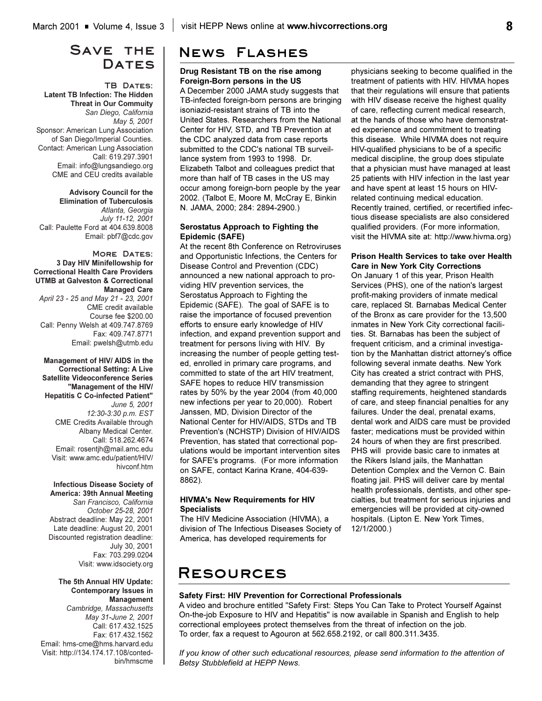### **Save the**  DATES

### **TB Dates: Latent TB Infection: The Hidden Threat in Our Commuity**  *San Diego, California May 5, 2001*  Sponsor: American Lung Association of San Diego/Imperial Counties. Contact: American Lung Association Call: 619.297.3901 Email: info@lungsandiego.org CME and CEU credits available

**Advisory Council for the Elimination of Tuberculosis** *Atlanta, Georgia July 11-12, 2001*  Call: Paulette Ford at 404.639.8008 Email: pbf7@cdc.gov

### **More Dates: 3 Day HIV Minifellowship for Correctional Health Care Providers UTMB at Galveston & Correctional Managed Care**

*April 23 - 25 and May 21 - 23, 2001* CME credit available Course fee \$200.00 Call: Penny Welsh at 409.747.8769 Fax: 409.747.8771 Email: pwelsh@utmb.edu

### **Management of HIV/ AIDS in the Correctional Setting: A Live Satellite Videoconference Series "Management of the HIV/ Hepatitis C Co-infected Patient"** *June 5, 2001 12:30-3:30 p.m. EST* CME Credits Available through Albany Medical Center. Call: 518.262.4674

Email: rosentjh@mail.amc.edu Visit: www.amc.edu/patient/HIV/ hivconf.htm

### **Infectious Disease Society of**

**America: 39th Annual Meeting** *San Francisco, California October 25-28, 2001* Abstract deadline: May 22, 2001 Late deadline: August 20, 2001 Discounted registration deadline: July 30, 2001 Fax: 703.299.0204 Visit: www.idsociety.org

**The 5th Annual HIV Update: Contemporary Issues in Management** *Cambridge, Massachusetts May 31-June 2, 2001* Call: 617.432.1525 Fax: 617.432.1562 Email: hms-cme@hms.harvard.edu Visit: http://134.174.17.108/contedbin/hmscme

# **News Flashes**

### **Drug Resistant TB on the rise among Foreign-Born persons in the US**

A December 2000 JAMA study suggests that TB-infected foreign-born persons are bringing isoniazid-resistant strains of TB into the United States. Researchers from the National Center for HIV, STD, and TB Prevention at the CDC analyzed data from case reports submitted to the CDC's national TB surveillance system from 1993 to 1998. Dr. Elizabeth Talbot and colleagues predict that more than half of TB cases in the US may occur among foreign-born people by the year 2002. (Talbot E, Moore M, McCray E, Binkin N. JAMA, 2000; 284: 2894-2900.)

### **Serostatus Approach to Fighting the Epidemic (SAFE)**

At the recent 8th Conference on Retroviruses and Opportunistic Infections, the Centers for Disease Control and Prevention (CDC) announced a new national approach to providing HIV prevention services, the Serostatus Approach to Fighting the Epidemic (SAFE). The goal of SAFE is to raise the importance of focused prevention efforts to ensure early knowledge of HIV infection, and expand prevention support and treatment for persons living with HIV. By increasing the number of people getting tested, enrolled in primary care programs, and committed to state of the art HIV treatment, SAFE hopes to reduce HIV transmission rates by 50% by the year 2004 (from 40,000 new infections per year to 20,000). Robert Janssen, MD, Division Director of the National Center for HIV/AIDS, STDs and TB Prevention's (NCHSTP) Division of HIV/AIDS Prevention, has stated that correctional populations would be important intervention sites for SAFE's programs. (For more information on SAFE, contact Karina Krane, 404-639- 8862).

### **HIVMA's New Requirements for HIV Specialists**

The HIV Medicine Association (HIVMA), a division of The Infectious Diseases Society of America, has developed requirements for

physicians seeking to become qualified in the treatment of patients with HIV. HIVMA hopes that their regulations will ensure that patients with HIV disease receive the highest quality of care, reflecting current medical research, at the hands of those who have demonstrated experience and commitment to treating this disease. While HIVMA does not require HIV-qualified physicians to be of a specific medical discipline, the group does stipulate that a physician must have managed at least 25 patients with HIV infection in the last year and have spent at least 15 hours on HIVrelated continuing medical education. Recently trained, certified, or recertified infectious disease specialists are also considered qualified providers. (For more information, visit the HIVMA site at: http://www.hivma.org)

### **Prison Health Services to take over Health Care in New York City Corrections**

On January 1 of this year, Prison Health Services (PHS), one of the nation's largest profit-making providers of inmate medical care, replaced St. Barnabas Medical Center of the Bronx as care provider for the 13,500 inmates in New York City correctional facilities. St. Barnabas has been the subject of frequent criticism, and a criminal investigation by the Manhattan district attorney's office following several inmate deaths. New York City has created a strict contract with PHS, demanding that they agree to stringent staffing requirements, heightened standards of care, and steep financial penalties for any failures. Under the deal, prenatal exams, dental work and AIDS care must be provided faster; medications must be provided within 24 hours of when they are first prescribed. PHS will provide basic care to inmates at the Rikers Island jails, the Manhattan Detention Complex and the Vernon C. Bain floating jail. PHS will deliver care by mental health professionals, dentists, and other specialties, but treatment for serious injuries and emergencies will be provided at city-owned hospitals. (Lipton E. New York Times, 12/1/2000.)

# **Resources**

### **Safety First: HIV Prevention for Correctional Professionals**

A video and brochure entitled "Safety First: Steps You Can Take to Protect Yourself Against On-the-job Exposure to HIV and Hepatitis" is now available in Spanish and English to help correctional employees protect themselves from the threat of infection on the job. To order, fax a request to Agouron at 562.658.2192, or call 800.311.3435.

*If you know of other such educational resources, please send information to the attention of Betsy Stubblefield at HEPP News.*